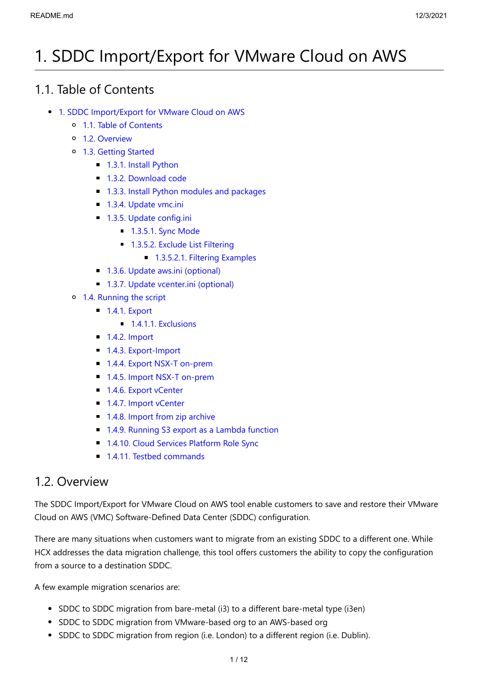# <span id="page-0-0"></span>1. SDDC Import/Export for VMware Cloud on AWS

## <span id="page-0-1"></span>1.1. Table of Contents

- [1. SDDC Import/Export for VMware Cloud on AWS](#page-0-0)
	- [1.1. Table of Contents](#page-0-1)
	- [1.2. Overview](#page-0-2)
	- [1.3. Getting Started](#page-1-0)
		- **[1.3.1. Install Python](#page-1-1)**
		- **[1.3.2. Download code](#page-1-2)**
		- [1.3.3. Install Python modules and packages](#page-1-3)
		- **[1.3.4. Update vmc.ini](#page-2-0)**
		- [1.3.5. Update config.ini](#page-2-1)
			- **[1.3.5.1. Sync Mode](#page-2-2)**
			- **[1.3.5.2. Exclude List Filtering](#page-3-0)** 
				- **[1.3.5.2.1. Filtering Examples](#page-3-1)**
		- [1.3.6. Update aws.ini \(optional\)](#page-4-0)
		- [1.3.7. Update vcenter.ini \(optional\)](#page-4-1)
	- [1.4. Running the script](#page-5-0)
		- **[1.4.1. Export](#page-5-1)** 
			- $\blacksquare$  [1.4.1.1. Exclusions](#page-6-0)
		- $\blacksquare$  [1.4.2. Import](#page-6-1)
		- **[1.4.3. Export-Import](#page-7-0)**
		- [1.4.4. Export NSX-T on-prem](#page-8-0)
		- [1.4.5. Import NSX-T on-prem](#page-8-1)
		- [1.4.6. Export vCenter](#page-8-2)
		- **[1.4.7. Import vCenter](#page-9-0)**
		- [1.4.8. Import from zip archive](#page-9-1)
		- **[1.4.9. Running S3 export as a Lambda function](#page-9-2)**
		- **[1.4.10. Cloud Services Platform Role Sync](#page-9-3)**
		- [1.4.11. Testbed commands](#page-11-0)

## <span id="page-0-2"></span>1.2. Overview

The SDDC Import/Export for VMware Cloud on AWS tool enable customers to save and restore their VMware Cloud on AWS (VMC) Software-Defined Data Center (SDDC) configuration.

There are many situations when customers want to migrate from an existing SDDC to a different one. While HCX addresses the data migration challenge, this tool offers customers the ability to copy the configuration from a source to a destination SDDC.

A few example migration scenarios are:

- SDDC to SDDC migration from bare-metal (i3) to a different bare-metal type (i3en)
- SDDC to SDDC migration from VMware-based org to an AWS-based org
- SDDC to SDDC migration from region (i.e. London) to a different region (i.e. Dublin).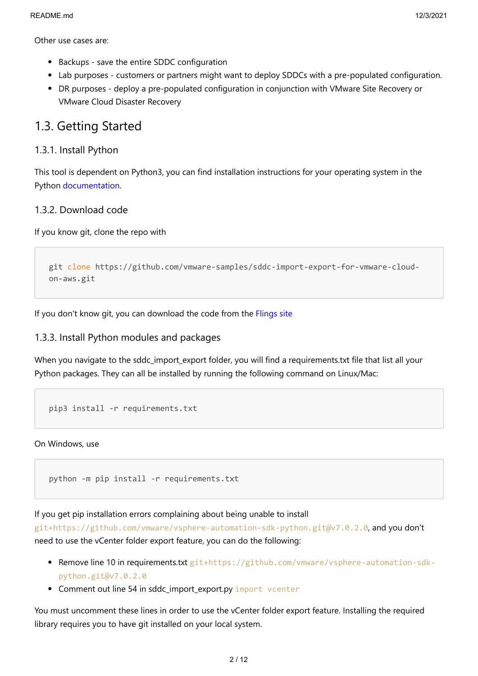Other use cases are:

- Backups save the entire SDDC configuration
- Lab purposes customers or partners might want to deploy SDDCs with a pre-populated configuration.
- DR purposes deploy a pre-populated configuration in conjunction with VMware Site Recovery or VMware Cloud Disaster Recovery

### <span id="page-1-0"></span>1.3. Getting Started

### <span id="page-1-1"></span>1.3.1. Install Python

This tool is dependent on Python3, you can find installation instructions for your operating system in the Python [documentation.](https://wiki.python.org/moin/BeginnersGuide/Download)

### <span id="page-1-2"></span>1.3.2. Download code

If you know git, clone the repo with

```
git clone https://github.com/vmware-samples/sddc-import-export-for-vmware-cloud-
on-aws.git
```
If you don't know git, you can download the code from the [Flings site](https://flings.vmware.com/sddc-import-export-for-vmware-cloud-on-aws)

### <span id="page-1-3"></span>1.3.3. Install Python modules and packages

When you navigate to the sddc\_import\_export folder, you will find a requirements.txt file that list all your Python packages. They can all be installed by running the following command on Linux/Mac:

```
pip3 install -r requirements.txt
```
On Windows, use

```
python -m pip install -r requirements.txt
```
If you get pip installation errors complaining about being unable to install

git+https://github.com/vmware/vsphere-automation-sdk-python.git@v7.0.2.0, and you don't need to use the vCenter folder export feature, you can do the following:

- Remove line 10 in requirements.txt git+https://github.com/vmware/vsphere-automation-sdkpython.git@v7.0.2.0
- Comment out line 54 in sddc import export.py import vcenter

You must uncomment these lines in order to use the vCenter folder export feature. Installing the required library requires you to have git installed on your local system.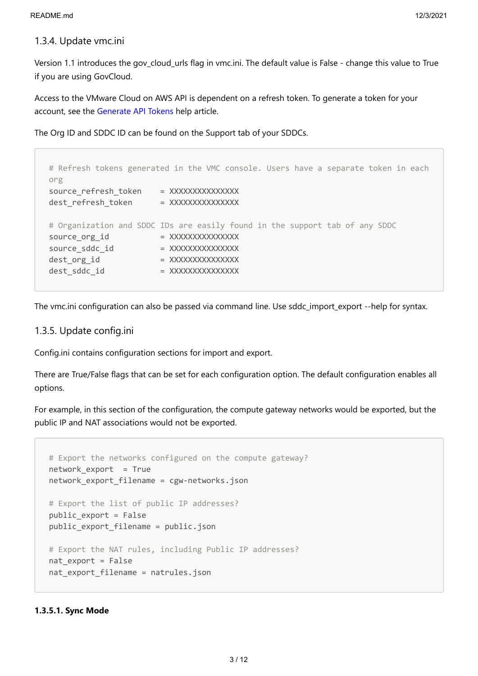### <span id="page-2-0"></span>1.3.4. Update vmc.ini

Version 1.1 introduces the gov\_cloud\_urls flag in vmc.ini. The default value is False - change this value to True if you are using GovCloud.

Access to the VMware Cloud on AWS API is dependent on a refresh token. To generate a token for your account, see the [Generate API Tokens](https://docs.vmware.com/en/VMware-Cloud-services/services/Using-VMware-Cloud-Services/GUID-E2A3B1C1-E9AD-4B00-A6B6-88D31FCDDF7C.html) help article.

The Org ID and SDDC ID can be found on the Support tab of your SDDCs.

```
# Refresh tokens generated in the VMC console. Users have a separate token in each
org
source refresh token = XXXXXXXXXXXXXXX
dest refresh token = XXXXXXXXXXXXXX
# Organization and SDDC IDs are easily found in the support tab of any SDDC
source org_id = XXXXXXXXXXXXXX
source_sddc_id = XXXXXXXXXXXXXX
dest_org_id = XXXXXXXXXXXXXX
dest_sddc_id = XXXXXXXXXXXXXX
```
The vmc.ini configuration can also be passed via command line. Use sddc\_import\_export --help for syntax.

### <span id="page-2-1"></span>1.3.5. Update config.ini

Config.ini contains configuration sections for import and export.

There are True/False flags that can be set for each configuration option. The default configuration enables all options.

For example, in this section of the configuration, the compute gateway networks would be exported, but the public IP and NAT associations would not be exported.

```
# Export the networks configured on the compute gateway?
network_export = True
network export filename = cgw-networks.json
# Export the list of public IP addresses?
public_export = False
public export filename = public.json
# Export the NAT rules, including Public IP addresses?
nat export = False
nat_export_filename = natrules.json
```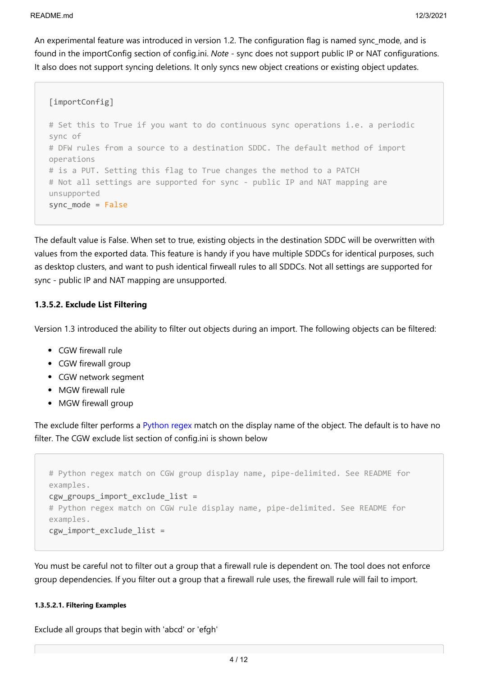An experimental feature was introduced in version 1.2. The configuration flag is named sync\_mode, and is found in the importConfig section of config.ini. *Note* - sync does not support public IP or NAT configurations. It also does not support syncing deletions. It only syncs new object creations or existing object updates.

```
[importConfig]
# Set this to True if you want to do continuous sync operations i.e. a periodic
sync of
# DFW rules from a source to a destination SDDC. The default method of import
operations 
# is a PUT. Setting this flag to True changes the method to a PATCH
# Not all settings are supported for sync - public IP and NAT mapping are
unsupported
sync_mode = False
```
The default value is False. When set to true, existing objects in the destination SDDC will be overwritten with values from the exported data. This feature is handy if you have multiple SDDCs for identical purposes, such as desktop clusters, and want to push identical firweall rules to all SDDCs. Not all settings are supported for sync - public IP and NAT mapping are unsupported.

### <span id="page-3-0"></span>**1.3.5.2. Exclude List Filtering**

Version 1.3 introduced the ability to filter out objects during an import. The following objects can be filtered:

- CGW firewall rule
- CGW firewall group
- CGW network segment
- MGW firewall rule
- MGW firewall group

The exclude filter performs a [Python regex](https://docs.python.org/3/library/re.html) match on the display name of the object. The default is to have no filter. The CGW exclude list section of config.ini is shown below

```
# Python regex match on CGW group display name, pipe-delimited. See README for
examples.
cgw groups import exclude list =
# Python regex match on CGW rule display name, pipe-delimited. See README for
examples.
cgw_import_exclude_list =
```
You must be careful not to filter out a group that a firewall rule is dependent on. The tool does not enforce group dependencies. If you filter out a group that a firewall rule uses, the firewall rule will fail to import.

### <span id="page-3-1"></span>**1.3.5.2.1. Filtering Examples**

Exclude all groups that begin with 'abcd' or 'efgh'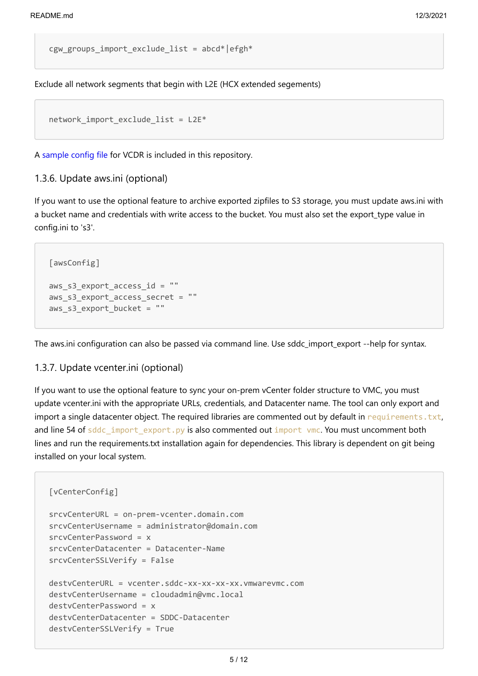cgw groups import exclude list = abcd\*|efgh\*

Exclude all network segments that begin with L2E (HCX extended segements)

```
network import exclude list = L2E*
```
A [sample config file](file:///c%3A/git/Flings/sddc-import-export-for-vmware-cloud-on-aws/config_ini/config.ini.vcdr.sample) for VCDR is included in this repository.

### <span id="page-4-0"></span>1.3.6. Update aws.ini (optional)

If you want to use the optional feature to archive exported zipfiles to S3 storage, you must update aws.ini with a bucket name and credentials with write access to the bucket. You must also set the export\_type value in config.ini to 's3'.

```
[awsConfig]
aws s3 export access id = ""aws_s3_export_access secret = ""
aws s3 export bucket = ""
```
The aws.ini configuration can also be passed via command line. Use sddc\_import\_export --help for syntax.

### <span id="page-4-1"></span>1.3.7. Update vcenter.ini (optional)

If you want to use the optional feature to sync your on-prem vCenter folder structure to VMC, you must update vcenter.ini with the appropriate URLs, credentials, and Datacenter name. The tool can only export and import a single datacenter object. The required libraries are commented out by default in requirements.txt, and line 54 of sddc\_import\_export.py is also commented out import vmc. You must uncomment both lines and run the requirements.txt installation again for dependencies. This library is dependent on git being installed on your local system.

```
[vCenterConfig]
srcvCenterURL = on-prem-vcenter.domain.com
srcvCenterUsername = administrator@domain.com
srcvCenterPassword = x
srcvCenterDatacenter = Datacenter-Name
srcvCenterSSLVerify = False
destvCenterURL = vcenter.sddc-xx-xx-xx-xx.vmwarevmc.com
destvCenterUsername = cloudadmin@vmc.local
destvCenterPassword = x
destvCenterDatacenter = SDDC-Datacenter
destvCenterSSLVerify = True
```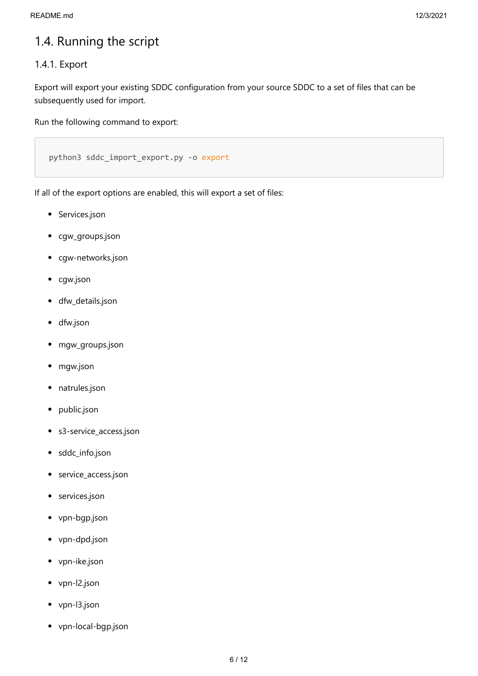## <span id="page-5-0"></span>1.4. Running the script

### <span id="page-5-1"></span>1.4.1. Export

Export will export your existing SDDC configuration from your source SDDC to a set of files that can be subsequently used for import.

Run the following command to export:

```
python3 sddc import export.py -o export
```
If all of the export options are enabled, this will export a set of files:

- Services.json
- cgw\_groups.json  $\bullet$
- cgw-networks.json  $\bullet$
- cgw.json  $\bullet$
- dfw\_details.json  $\bullet$
- dfw.json  $\bullet$
- mgw\_groups.json  $\bullet$
- mgw.json  $\bullet$
- natrules.json  $\bullet$
- public.json  $\bullet$
- s3-service\_access.json  $\bullet$
- sddc\_info.json  $\bullet$
- service\_access.json  $\bullet$
- services.json  $\bullet$
- vpn-bgp.json  $\bullet$
- vpn-dpd.json
- vpn-ike.json  $\bullet$
- vpn-l2.json  $\bullet$
- vpn-l3.json  $\bullet$
- vpn-local-bgp.json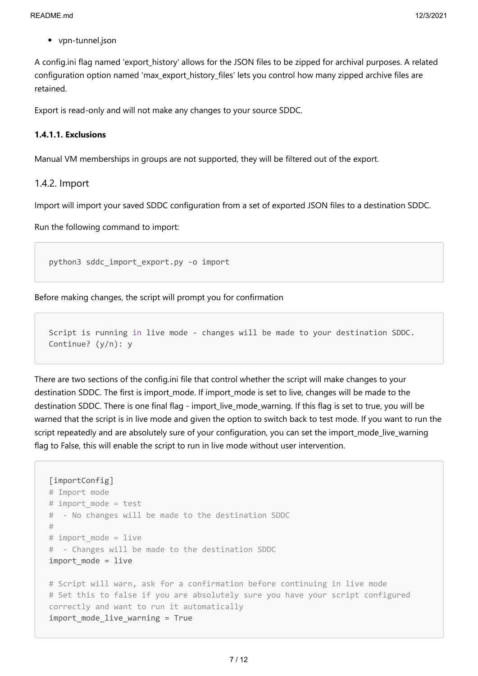vpn-tunnel.json

A config.ini flag named 'export\_history' allows for the JSON files to be zipped for archival purposes. A related configuration option named 'max export history files' lets you control how many zipped archive files are retained.

Export is read-only and will not make any changes to your source SDDC.

### <span id="page-6-0"></span>**1.4.1.1. Exclusions**

Manual VM memberships in groups are not supported, they will be filtered out of the export.

### <span id="page-6-1"></span>1.4.2. Import

Import will import your saved SDDC configuration from a set of exported JSON files to a destination SDDC.

Run the following command to import:

```
python3 sddc_import_export.py -o import
```
Before making changes, the script will prompt you for confirmation

Script is running in live mode - changes will be made to your destination SDDC. Continue? (y/n): y

There are two sections of the config.ini file that control whether the script will make changes to your destination SDDC. The first is import mode. If import mode is set to live, changes will be made to the destination SDDC. There is one final flag - import live mode warning. If this flag is set to true, you will be warned that the script is in live mode and given the option to switch back to test mode. If you want to run the script repeatedly and are absolutely sure of your configuration, you can set the import mode live warning flag to False, this will enable the script to run in live mode without user intervention.

```
[importConfig]
# Import mode
# import mode = test
# - No changes will be made to the destination SDDC
#
# import mode = live
# - Changes will be made to the destination SDDC
import_mode = live
# Script will warn, ask for a confirmation before continuing in live mode
# Set this to false if you are absolutely sure you have your script configured
correctly and want to run it automatically
import_mode_live_warning = True
```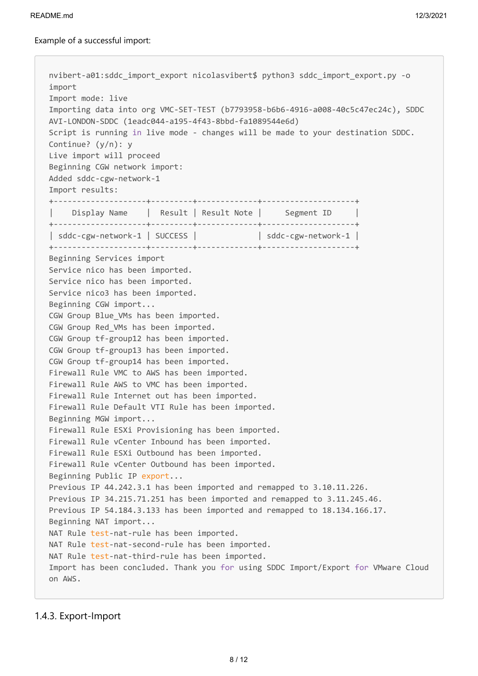nvibert-a01:sddc\_import\_export nicolasvibert\$ python3 sddc\_import\_export.py -o import Import mode: live Importing data into org VMC-SET-TEST (b7793958-b6b6-4916-a008-40c5c47ec24c), SDDC AVI-LONDON-SDDC (1eadc044-a195-4f43-8bbd-fa1089544e6d) Script is running in live mode - changes will be made to your destination SDDC. Continue? (y/n): y Live import will proceed Beginning CGW network import: Added sddc-cgw-network-1 Import results: +--------------------+---------+-------------+--------------------+ Display Name | Result | Result Note | Segment ID +--------------------+---------+-------------+--------------------+ | sddc-cgw-network-1 | SUCCESS | | sddc-cgw-network-1 | +--------------------+---------+-------------+--------------------+ Beginning Services import Service nico has been imported. Service nico has been imported. Service nico3 has been imported. Beginning CGW import... CGW Group Blue VMs has been imported. CGW Group Red\_VMs has been imported. CGW Group tf-group12 has been imported. CGW Group tf-group13 has been imported. CGW Group tf-group14 has been imported. Firewall Rule VMC to AWS has been imported. Firewall Rule AWS to VMC has been imported. Firewall Rule Internet out has been imported. Firewall Rule Default VTI Rule has been imported. Beginning MGW import... Firewall Rule ESXi Provisioning has been imported. Firewall Rule vCenter Inbound has been imported. Firewall Rule ESXi Outbound has been imported. Firewall Rule vCenter Outbound has been imported. Beginning Public IP export... Previous IP 44.242.3.1 has been imported and remapped to 3.10.11.226. Previous IP 34.215.71.251 has been imported and remapped to 3.11.245.46. Previous IP 54.184.3.133 has been imported and remapped to 18.134.166.17. Beginning NAT import... NAT Rule test-nat-rule has been imported. NAT Rule test-nat-second-rule has been imported. NAT Rule test-nat-third-rule has been imported. Import has been concluded. Thank you for using SDDC Import/Export for VMware Cloud on AWS.

<span id="page-7-0"></span>1.4.3. Export-Import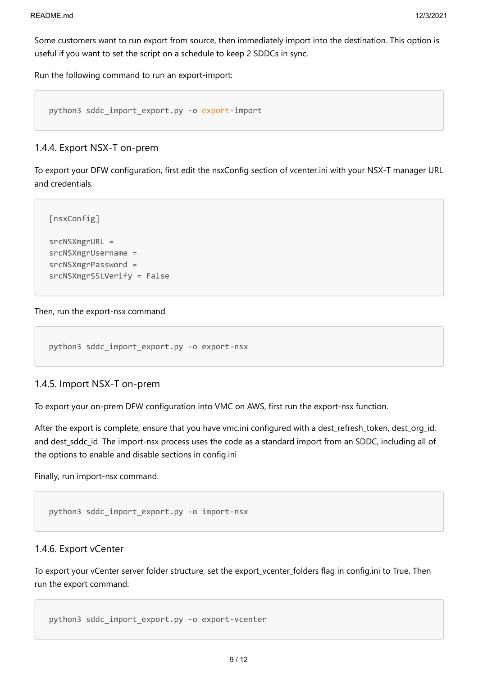Some customers want to run export from source, then immediately import into the destination. This option is useful if you want to set the script on a schedule to keep 2 SDDCs in sync.

Run the following command to run an export-import:

```
python3 sddc_import_export.py -o export-import
```
### <span id="page-8-0"></span>1.4.4. Export NSX-T on-prem

To export your DFW configuration, first edit the nsxConfig section of vcenter.ini with your NSX-T manager URL and credentials.

```
[nsxConfig]
srcNSXmgrURL = 
srcNSXmgrUsername = 
srcNSXmgrPassword = 
srcNSXmgrSSLVerify = False
```
### Then, run the export-nsx command

```
python3 sddc_import_export.py -o export-nsx
```
### <span id="page-8-1"></span>1.4.5. Import NSX-T on-prem

To export your on-prem DFW configuration into VMC on AWS, first run the export-nsx function.

After the export is complete, ensure that you have vmc.ini configured with a dest refresh token, dest org-id, and dest sddc id. The import-nsx process uses the code as a standard import from an SDDC, including all of the options to enable and disable sections in config.ini

Finally, run import-nsx command.

```
python3 sddc_import_export.py -o import-nsx
```
### <span id="page-8-2"></span>1.4.6. Export vCenter

To export your vCenter server folder structure, set the export vcenter folders flag in config.ini to True. Then run the export command:

```
python3 sddc_import_export.py -o export-vcenter
```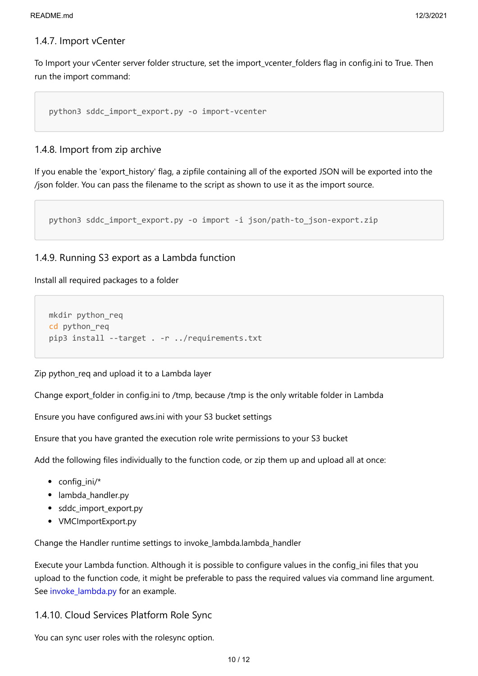### <span id="page-9-0"></span>1.4.7. Import vCenter

To Import your vCenter server folder structure, set the import\_vcenter\_folders flag in config.ini to True. Then run the import command:

```
python3 sddc_import_export.py -o import-vcenter
```
### <span id="page-9-1"></span>1.4.8. Import from zip archive

If you enable the 'export\_history' flag, a zipfile containing all of the exported JSON will be exported into the /json folder. You can pass the filename to the script as shown to use it as the import source.

python3 sddc\_import\_export.py -o import -i json/path-to\_json-export.zip

### <span id="page-9-2"></span>1.4.9. Running S3 export as a Lambda function

Install all required packages to a folder

```
mkdir python_req
cd python_req
pip3 install --target . -r ../requirements.txt
```
Zip python\_req and upload it to a Lambda layer

Change export folder in config.ini to /tmp, because /tmp is the only writable folder in Lambda

Ensure you have configured aws.ini with your S3 bucket settings

Ensure that you have granted the execution role write permissions to your S3 bucket

Add the following files individually to the function code, or zip them up and upload all at once:

- $\bullet$  config ini/\*
- lambda\_handler.py
- sddc\_import\_export.py
- VMCImportExport.py

Change the Handler runtime settings to invoke\_lambda.lambda\_handler

Execute your Lambda function. Although it is possible to configure values in the config\_ini files that you upload to the function code, it might be preferable to pass the required values via command line argument. See [invoke\\_lambda.py](file:///c%3A/git/Flings/sddc-import-export-for-vmware-cloud-on-aws/invoke_lambda.py) for an example.

<span id="page-9-3"></span>1.4.10. Cloud Services Platform Role Sync

You can sync user roles with the rolesync option.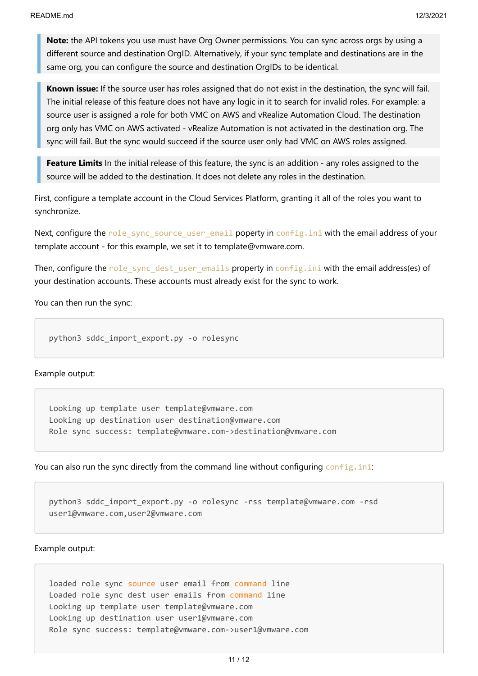**Note:** the API tokens you use must have Org Owner permissions. You can sync across orgs by using a different source and destination OrgID. Alternatively, if your sync template and destinations are in the same org, you can configure the source and destination OrgIDs to be identical.

**Known issue:** If the source user has roles assigned that do not exist in the destination, the sync will fail. The initial release of this feature does not have any logic in it to search for invalid roles. For example: a source user is assigned a role for both VMC on AWS and vRealize Automation Cloud. The destination org only has VMC on AWS activated - vRealize Automation is not activated in the destination org. The sync will fail. But the sync would succeed if the source user only had VMC on AWS roles assigned.

**Feature Limits** In the initial release of this feature, the sync is an addition - any roles assigned to the source will be added to the destination. It does not delete any roles in the destination.

First, configure a template account in the Cloud Services Platform, granting it all of the roles you want to synchronize.

Next, configure the role\_sync\_source\_user\_email poperty in config.ini with the email address of your template account - for this example, we set it to template@vmware.com.

Then, configure the role sync dest user emails property in config.ini with the email address(es) of your destination accounts. These accounts must already exist for the sync to work.

You can then run the sync:

python3 sddc\_import\_export.py -o rolesync

Example output:

Looking up template user template@vmware.com Looking up destination user destination@vmware.com Role sync success: template@vmware.com->destination@vmware.com

You can also run the sync directly from the command line without configuring config.ini:

python3 sddc\_import\_export.py -o rolesync -rss template@vmware.com -rsd user1@vmware.com,user2@vmware.com

Example output:

loaded role sync source user email from command line Loaded role sync dest user emails from command line Looking up template user template@vmware.com Looking up destination user user1@vmware.com Role sync success: template@vmware.com->user1@vmware.com